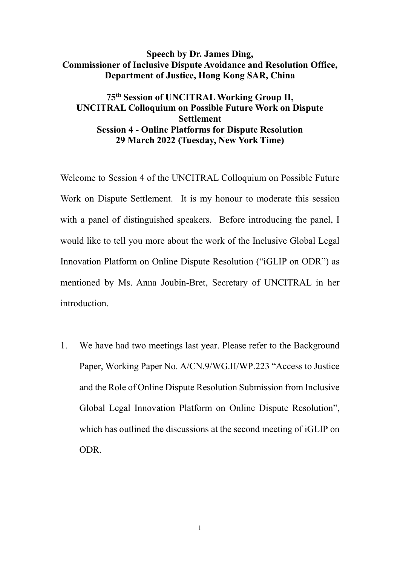# **Speech by Dr. James Ding, Commissioner of Inclusive Dispute Avoidance and Resolution Office, Department of Justice, Hong Kong SAR, China**

# **75th Session of UNCITRAL Working Group II, UNCITRAL Colloquium on Possible Future Work on Dispute Settlement Session 4 - Online Platforms for Dispute Resolution 29 March 2022 (Tuesday, New York Time)**

Welcome to Session 4 of the UNCITRAL Colloquium on Possible Future Work on Dispute Settlement. It is my honour to moderate this session with a panel of distinguished speakers. Before introducing the panel, I would like to tell you more about the work of the Inclusive Global Legal Innovation Platform on Online Dispute Resolution ("iGLIP on ODR") as mentioned by Ms. Anna Joubin-Bret, Secretary of UNCITRAL in her introduction.

1. We have had two meetings last year. Please refer to the Background Paper, Working Paper No. A/CN.9/WG.II/WP.223 "Access to Justice and the Role of Online Dispute Resolution Submission from Inclusive Global Legal Innovation Platform on Online Dispute Resolution", which has outlined the discussions at the second meeting of iGLIP on ODR.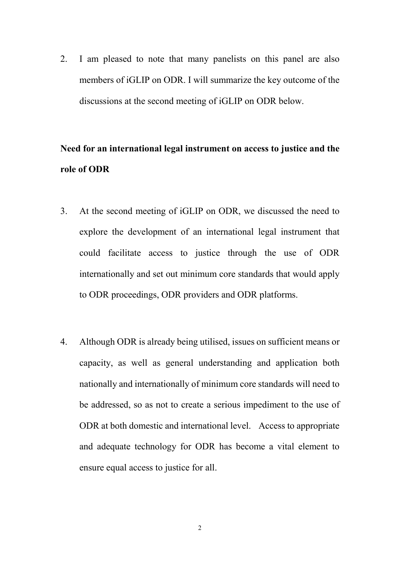2. I am pleased to note that many panelists on this panel are also members of iGLIP on ODR. I will summarize the key outcome of the discussions at the second meeting of iGLIP on ODR below.

# **Need for an international legal instrument on access to justice and the role of ODR**

- 3. At the second meeting of iGLIP on ODR, we discussed the need to explore the development of an international legal instrument that could facilitate access to justice through the use of ODR internationally and set out minimum core standards that would apply to ODR proceedings, ODR providers and ODR platforms.
- 4. Although ODR is already being utilised, issues on sufficient means or capacity, as well as general understanding and application both nationally and internationally of minimum core standards will need to be addressed, so as not to create a serious impediment to the use of ODR at both domestic and international level. Access to appropriate and adequate technology for ODR has become a vital element to ensure equal access to justice for all.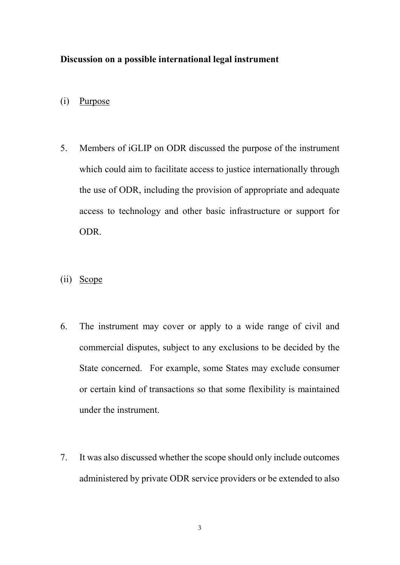#### **Discussion on a possible international legal instrument**

- (i) Purpose
- 5. Members of iGLIP on ODR discussed the purpose of the instrument which could aim to facilitate access to justice internationally through the use of ODR, including the provision of appropriate and adequate access to technology and other basic infrastructure or support for ODR.
- (ii) Scope
- 6. The instrument may cover or apply to a wide range of civil and commercial disputes, subject to any exclusions to be decided by the State concerned. For example, some States may exclude consumer or certain kind of transactions so that some flexibility is maintained under the instrument.
- 7. It was also discussed whether the scope should only include outcomes administered by private ODR service providers or be extended to also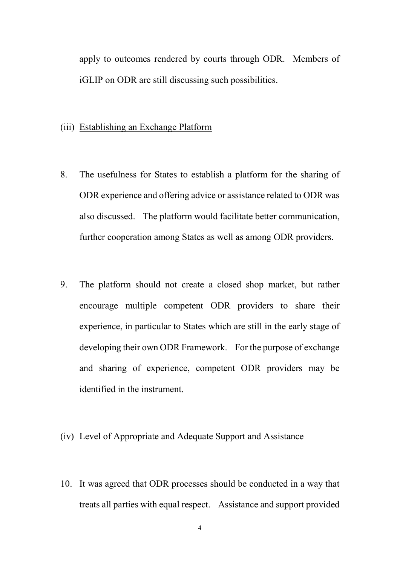apply to outcomes rendered by courts through ODR. Members of iGLIP on ODR are still discussing such possibilities.

#### (iii) Establishing an Exchange Platform

- 8. The usefulness for States to establish a platform for the sharing of ODR experience and offering advice or assistance related to ODR was also discussed. The platform would facilitate better communication, further cooperation among States as well as among ODR providers.
- 9. The platform should not create a closed shop market, but rather encourage multiple competent ODR providers to share their experience, in particular to States which are still in the early stage of developing their own ODR Framework. For the purpose of exchange and sharing of experience, competent ODR providers may be identified in the instrument.

# (iv) Level of Appropriate and Adequate Support and Assistance

10. It was agreed that ODR processes should be conducted in a way that treats all parties with equal respect. Assistance and support provided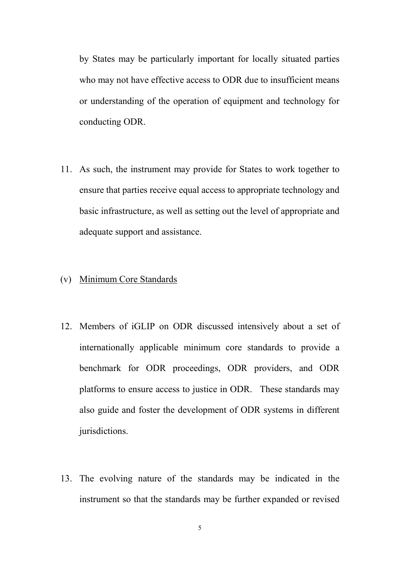by States may be particularly important for locally situated parties who may not have effective access to ODR due to insufficient means or understanding of the operation of equipment and technology for conducting ODR.

11. As such, the instrument may provide for States to work together to ensure that parties receive equal access to appropriate technology and basic infrastructure, as well as setting out the level of appropriate and adequate support and assistance.

#### (v) Minimum Core Standards

- 12. Members of iGLIP on ODR discussed intensively about a set of internationally applicable minimum core standards to provide a benchmark for ODR proceedings, ODR providers, and ODR platforms to ensure access to justice in ODR. These standards may also guide and foster the development of ODR systems in different jurisdictions.
- 13. The evolving nature of the standards may be indicated in the instrument so that the standards may be further expanded or revised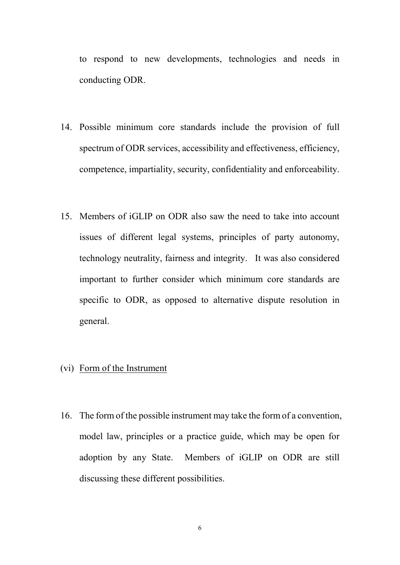to respond to new developments, technologies and needs in conducting ODR.

- 14. Possible minimum core standards include the provision of full spectrum of ODR services, accessibility and effectiveness, efficiency, competence, impartiality, security, confidentiality and enforceability.
- 15. Members of iGLIP on ODR also saw the need to take into account issues of different legal systems, principles of party autonomy, technology neutrality, fairness and integrity. It was also considered important to further consider which minimum core standards are specific to ODR, as opposed to alternative dispute resolution in general.

# (vi) Form of the Instrument

16. The form of the possible instrument may take the form of a convention, model law, principles or a practice guide, which may be open for adoption by any State. Members of iGLIP on ODR are still discussing these different possibilities.